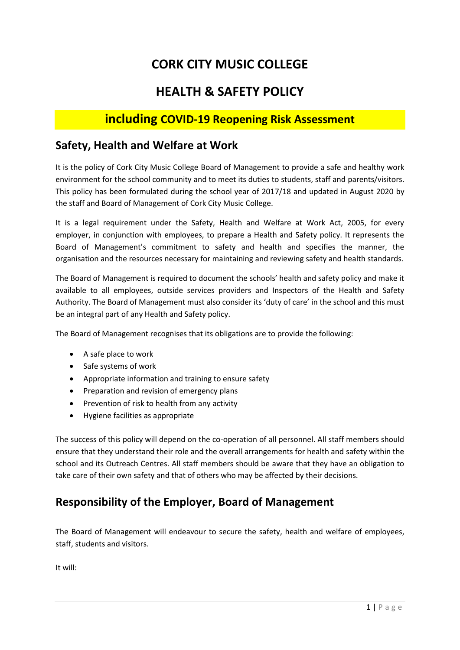# **CORK CITY MUSIC COLLEGE**

## **HEALTH & SAFETY POLICY**

## **including COVID-19 Reopening Risk Assessment**

## **Safety, Health and Welfare at Work**

It is the policy of Cork City Music College Board of Management to provide a safe and healthy work environment for the school community and to meet its duties to students, staff and parents/visitors. This policy has been formulated during the school year of 2017/18 and updated in August 2020 by the staff and Board of Management of Cork City Music College.

It is a legal requirement under the Safety, Health and Welfare at Work Act, 2005, for every employer, in conjunction with employees, to prepare a Health and Safety policy. It represents the Board of Management's commitment to safety and health and specifies the manner, the organisation and the resources necessary for maintaining and reviewing safety and health standards.

The Board of Management is required to document the schools' health and safety policy and make it available to all employees, outside services providers and Inspectors of the Health and Safety Authority. The Board of Management must also consider its 'duty of care' in the school and this must be an integral part of any Health and Safety policy.

The Board of Management recognises that its obligations are to provide the following:

- A safe place to work
- Safe systems of work
- Appropriate information and training to ensure safety
- Preparation and revision of emergency plans
- Prevention of risk to health from any activity
- Hygiene facilities as appropriate

The success of this policy will depend on the co-operation of all personnel. All staff members should ensure that they understand their role and the overall arrangements for health and safety within the school and its Outreach Centres. All staff members should be aware that they have an obligation to take care of their own safety and that of others who may be affected by their decisions.

## **Responsibility of the Employer, Board of Management**

The Board of Management will endeavour to secure the safety, health and welfare of employees, staff, students and visitors.

It will: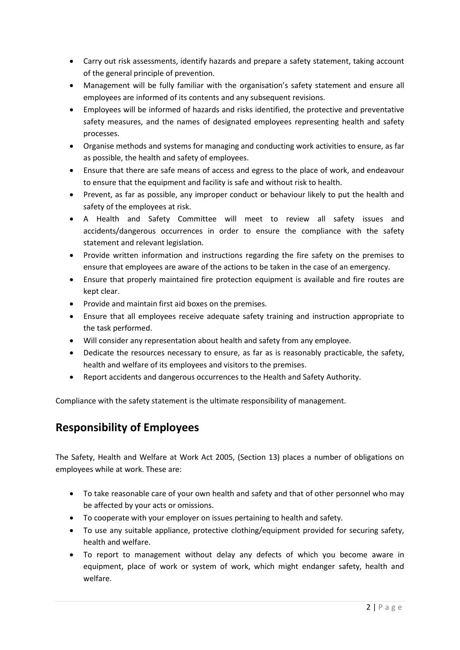- Carry out risk assessments, identify hazards and prepare a safety statement, taking account of the general principle of prevention.
- Management will be fully familiar with the organisation's safety statement and ensure all employees are informed of its contents and any subsequent revisions.
- Employees will be informed of hazards and risks identified, the protective and preventative safety measures, and the names of designated employees representing health and safety processes.
- Organise methods and systems for managing and conducting work activities to ensure, as far as possible, the health and safety of employees.
- Ensure that there are safe means of access and egress to the place of work, and endeavour to ensure that the equipment and facility is safe and without risk to health.
- Prevent, as far as possible, any improper conduct or behaviour likely to put the health and safety of the employees at risk.
- A Health and Safety Committee will meet to review all safety issues and accidents/dangerous occurrences in order to ensure the compliance with the safety statement and relevant legislation.
- Provide written information and instructions regarding the fire safety on the premises to ensure that employees are aware of the actions to be taken in the case of an emergency.
- Ensure that properly maintained fire protection equipment is available and fire routes are kept clear.
- Provide and maintain first aid boxes on the premises.
- Ensure that all employees receive adequate safety training and instruction appropriate to the task performed.
- Will consider any representation about health and safety from any employee.
- Dedicate the resources necessary to ensure, as far as is reasonably practicable, the safety, health and welfare of its employees and visitors to the premises.
- Report accidents and dangerous occurrences to the Health and Safety Authority.

Compliance with the safety statement is the ultimate responsibility of management.

## **Responsibility of Employees**

The Safety, Health and Welfare at Work Act 2005, (Section 13) places a number of obligations on employees while at work. These are:

- To take reasonable care of your own health and safety and that of other personnel who may be affected by your acts or omissions.
- To cooperate with your employer on issues pertaining to health and safety.
- To use any suitable appliance, protective clothing/equipment provided for securing safety, health and welfare.
- To report to management without delay any defects of which you become aware in equipment, place of work or system of work, which might endanger safety, health and welfare.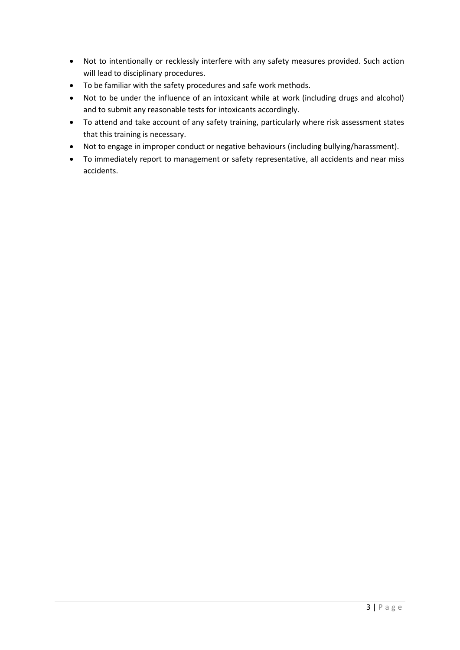- Not to intentionally or recklessly interfere with any safety measures provided. Such action will lead to disciplinary procedures.
- To be familiar with the safety procedures and safe work methods.
- Not to be under the influence of an intoxicant while at work (including drugs and alcohol) and to submit any reasonable tests for intoxicants accordingly.
- To attend and take account of any safety training, particularly where risk assessment states that this training is necessary.
- Not to engage in improper conduct or negative behaviours (including bullying/harassment).
- To immediately report to management or safety representative, all accidents and near miss accidents.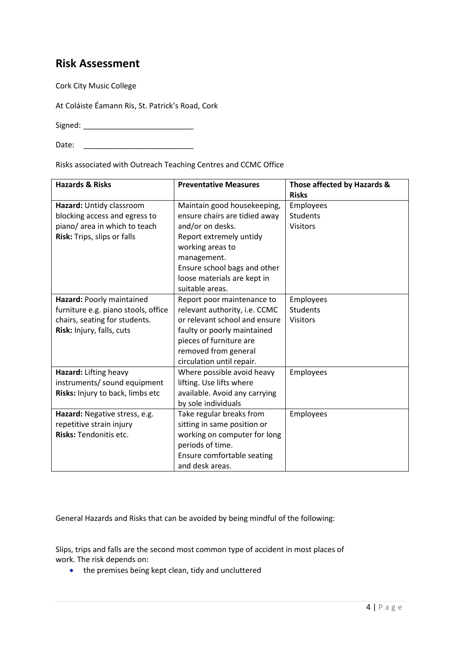## **Risk Assessment**

Cork City Music College

At Coláiste Éamann Rís, St. Patrick's Road, Cork

Signed: \_\_\_\_\_\_\_\_\_\_\_\_\_\_\_\_\_\_\_\_\_\_\_\_\_\_

Date: \_\_\_\_\_\_\_\_\_\_\_\_\_\_\_\_\_\_\_\_\_\_\_\_\_\_

Risks associated with Outreach Teaching Centres and CCMC Office

| <b>Hazards &amp; Risks</b>          | <b>Preventative Measures</b>  | Those affected by Hazards & |
|-------------------------------------|-------------------------------|-----------------------------|
|                                     |                               | <b>Risks</b>                |
| Hazard: Untidy classroom            | Maintain good housekeeping,   | Employees                   |
| blocking access and egress to       | ensure chairs are tidied away | <b>Students</b>             |
| piano/ area in which to teach       | and/or on desks.              | <b>Visitors</b>             |
| Risk: Trips, slips or falls         | Report extremely untidy       |                             |
|                                     | working areas to              |                             |
|                                     | management.                   |                             |
|                                     | Ensure school bags and other  |                             |
|                                     | loose materials are kept in   |                             |
|                                     | suitable areas.               |                             |
| Hazard: Poorly maintained           | Report poor maintenance to    | Employees                   |
| furniture e.g. piano stools, office | relevant authority, i.e. CCMC | <b>Students</b>             |
| chairs, seating for students.       | or relevant school and ensure | <b>Visitors</b>             |
| Risk: Injury, falls, cuts           | faulty or poorly maintained   |                             |
|                                     | pieces of furniture are       |                             |
|                                     | removed from general          |                             |
|                                     | circulation until repair.     |                             |
| Hazard: Lifting heavy               | Where possible avoid heavy    | Employees                   |
| instruments/ sound equipment        | lifting. Use lifts where      |                             |
| Risks: Injury to back, limbs etc    | available. Avoid any carrying |                             |
|                                     | by sole individuals           |                             |
| Hazard: Negative stress, e.g.       | Take regular breaks from      | Employees                   |
| repetitive strain injury            | sitting in same position or   |                             |
| Risks: Tendonitis etc.              | working on computer for long  |                             |
|                                     | periods of time.              |                             |
|                                     | Ensure comfortable seating    |                             |
|                                     | and desk areas.               |                             |

General Hazards and Risks that can be avoided by being mindful of the following:

Slips, trips and falls are the second most common type of accident in most places of work. The risk depends on:

• the premises being kept clean, tidy and uncluttered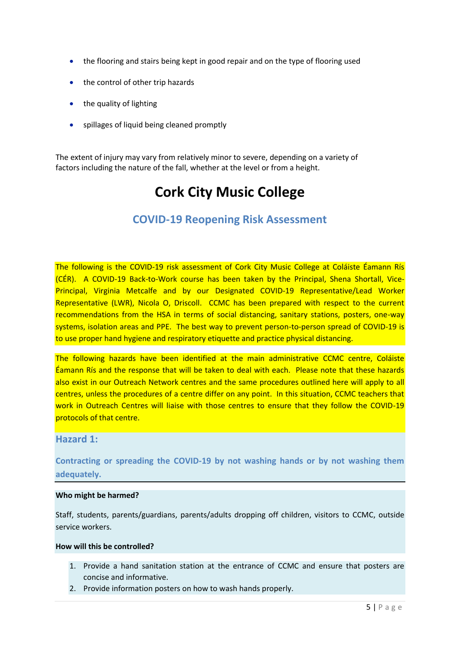- the flooring and stairs being kept in good repair and on the type of flooring used
- the control of other trip hazards
- the quality of lighting
- spillages of liquid being cleaned promptly

The extent of injury may vary from relatively minor to severe, depending on a variety of factors including the nature of the fall, whether at the level or from a height.

# **Cork City Music College**

## **COVID-19 Reopening Risk Assessment**

The following is the COVID-19 risk assessment of Cork City Music College at Coláiste Éamann Rís (CÉR). A COVID-19 Back-to-Work course has been taken by the Principal, Shena Shortall, Vice-Principal, Virginia Metcalfe and by our Designated COVID-19 Representative/Lead Worker Representative (LWR), Nicola O, Driscoll. CCMC has been prepared with respect to the current recommendations from the HSA in terms of social distancing, sanitary stations, posters, one-way systems, isolation areas and PPE. The best way to prevent person-to-person spread of COVID-19 is to use proper hand hygiene and respiratory etiquette and practice physical distancing.

The following hazards have been identified at the main administrative CCMC centre, Coláiste Éamann Rís and the response that will be taken to deal with each. Please note that these hazards also exist in our Outreach Network centres and the same procedures outlined here will apply to all centres, unless the procedures of a centre differ on any point. In this situation, CCMC teachers that work in Outreach Centres will liaise with those centres to ensure that they follow the COVID-19 protocols of that centre.

### **Hazard 1:**

**Contracting or spreading the COVID-19 by not washing hands or by not washing them adequately.**

### **Who might be harmed?**

Staff, students, parents/guardians, parents/adults dropping off children, visitors to CCMC, outside service workers.

### **How will this be controlled?**

- 1. Provide a hand sanitation station at the entrance of CCMC and ensure that posters are concise and informative.
- 2. Provide information posters on how to wash hands properly.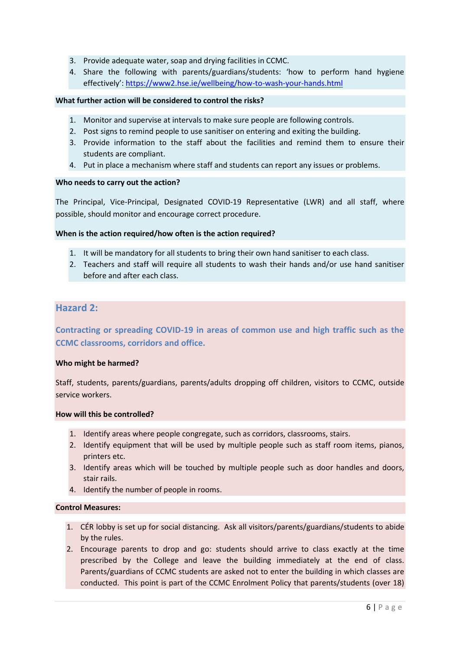- 3. Provide adequate water, soap and drying facilities in CCMC.
- 4. Share the following with parents/guardians/students: 'how to perform hand hygiene effectively': <https://www2.hse.ie/wellbeing/how-to-wash-your-hands.html>

### **What further action will be considered to control the risks?**

- 1. Monitor and supervise at intervals to make sure people are following controls.
- 2. Post signs to remind people to use sanitiser on entering and exiting the building.
- 3. Provide information to the staff about the facilities and remind them to ensure their students are compliant.
- 4. Put in place a mechanism where staff and students can report any issues or problems.

### **Who needs to carry out the action?**

The Principal, Vice-Principal, Designated COVID-19 Representative (LWR) and all staff, where possible, should monitor and encourage correct procedure.

### **When is the action required/how often is the action required?**

- 1. It will be mandatory for all students to bring their own hand sanitiser to each class.
- 2. Teachers and staff will require all students to wash their hands and/or use hand sanitiser before and after each class.

### **Hazard 2:**

**Contracting or spreading COVID-19 in areas of common use and high traffic such as the CCMC classrooms, corridors and office.**

### **Who might be harmed?**

Staff, students, parents/guardians, parents/adults dropping off children, visitors to CCMC, outside service workers.

### **How will this be controlled?**

- 1. Identify areas where people congregate, such as corridors, classrooms, stairs.
- 2. Identify equipment that will be used by multiple people such as staff room items, pianos, printers etc.
- 3. Identify areas which will be touched by multiple people such as door handles and doors, stair rails.
- 4. Identify the number of people in rooms.

#### **Control Measures:**

- 1. CÉR lobby is set up for social distancing. Ask all visitors/parents/guardians/students to abide by the rules.
- 2. Encourage parents to drop and go: students should arrive to class exactly at the time prescribed by the College and leave the building immediately at the end of class. Parents/guardians of CCMC students are asked not to enter the building in which classes are conducted. This point is part of the CCMC Enrolment Policy that parents/students (over 18)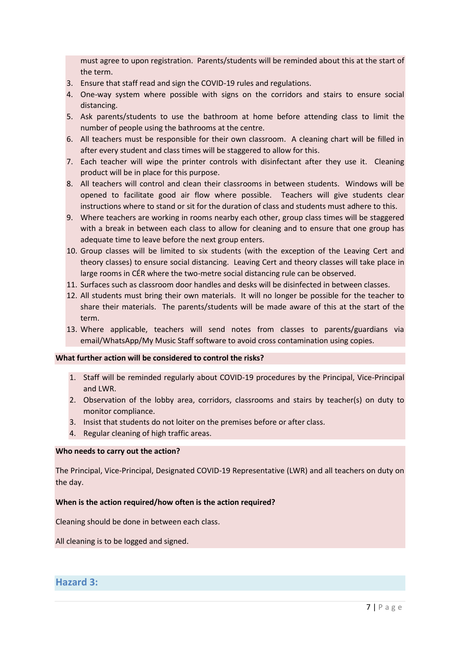must agree to upon registration. Parents/students will be reminded about this at the start of the term.

- 3. Ensure that staff read and sign the COVID-19 rules and regulations.
- 4. One-way system where possible with signs on the corridors and stairs to ensure social distancing.
- 5. Ask parents/students to use the bathroom at home before attending class to limit the number of people using the bathrooms at the centre.
- 6. All teachers must be responsible for their own classroom. A cleaning chart will be filled in after every student and class times will be staggered to allow for this.
- 7. Each teacher will wipe the printer controls with disinfectant after they use it. Cleaning product will be in place for this purpose.
- 8. All teachers will control and clean their classrooms in between students. Windows will be opened to facilitate good air flow where possible. Teachers will give students clear instructions where to stand or sit for the duration of class and students must adhere to this.
- 9. Where teachers are working in rooms nearby each other, group class times will be staggered with a break in between each class to allow for cleaning and to ensure that one group has adequate time to leave before the next group enters.
- 10. Group classes will be limited to six students (with the exception of the Leaving Cert and theory classes) to ensure social distancing. Leaving Cert and theory classes will take place in large rooms in CÉR where the two-metre social distancing rule can be observed.
- 11. Surfaces such as classroom door handles and desks will be disinfected in between classes.
- 12. All students must bring their own materials. It will no longer be possible for the teacher to share their materials. The parents/students will be made aware of this at the start of the term.
- 13. Where applicable, teachers will send notes from classes to parents/guardians via email/WhatsApp/My Music Staff software to avoid cross contamination using copies.

### **What further action will be considered to control the risks?**

- 1. Staff will be reminded regularly about COVID-19 procedures by the Principal, Vice-Principal and LWR.
- 2. Observation of the lobby area, corridors, classrooms and stairs by teacher(s) on duty to monitor compliance.
- 3. Insist that students do not loiter on the premises before or after class.
- 4. Regular cleaning of high traffic areas.

### **Who needs to carry out the action?**

The Principal, Vice-Principal, Designated COVID-19 Representative (LWR) and all teachers on duty on the day.

### **When is the action required/how often is the action required?**

Cleaning should be done in between each class.

All cleaning is to be logged and signed.

### **Hazard 3:**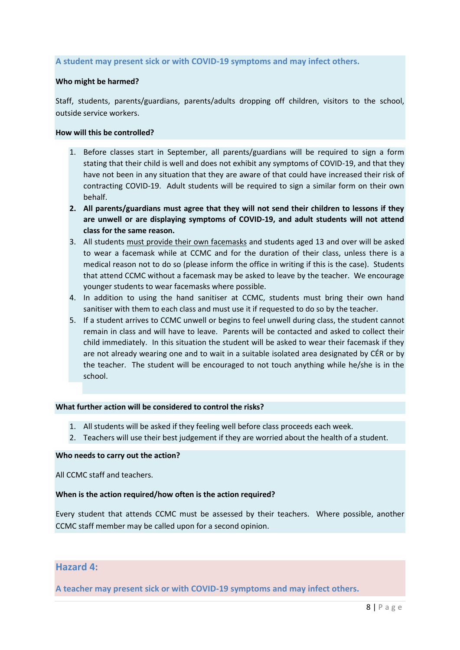### **A student may present sick or with COVID-19 symptoms and may infect others.**

### **Who might be harmed?**

Staff, students, parents/guardians, parents/adults dropping off children, visitors to the school, outside service workers.

### **How will this be controlled?**

- 1. Before classes start in September, all parents/guardians will be required to sign a form stating that their child is well and does not exhibit any symptoms of COVID-19, and that they have not been in any situation that they are aware of that could have increased their risk of contracting COVID-19. Adult students will be required to sign a similar form on their own behalf.
- **2. All parents/guardians must agree that they will not send their children to lessons if they are unwell or are displaying symptoms of COVID-19, and adult students will not attend class for the same reason.**
- 3. All students must provide their own facemasks and students aged 13 and over will be asked to wear a facemask while at CCMC and for the duration of their class, unless there is a medical reason not to do so (please inform the office in writing if this is the case). Students that attend CCMC without a facemask may be asked to leave by the teacher. We encourage younger students to wear facemasks where possible.
- 4. In addition to using the hand sanitiser at CCMC, students must bring their own hand sanitiser with them to each class and must use it if requested to do so by the teacher.
- 5. If a student arrives to CCMC unwell or begins to feel unwell during class, the student cannot remain in class and will have to leave. Parents will be contacted and asked to collect their child immediately. In this situation the student will be asked to wear their facemask if they are not already wearing one and to wait in a suitable isolated area designated by CÉR or by the teacher. The student will be encouraged to not touch anything while he/she is in the school.

#### **What further action will be considered to control the risks?**

- 1. All students will be asked if they feeling well before class proceeds each week.
- 2. Teachers will use their best judgement if they are worried about the health of a student.

#### **Who needs to carry out the action?**

All CCMC staff and teachers.

#### **When is the action required/how often is the action required?**

Every student that attends CCMC must be assessed by their teachers. Where possible, another CCMC staff member may be called upon for a second opinion.

### **Hazard 4:**

**A teacher may present sick or with COVID-19 symptoms and may infect others.**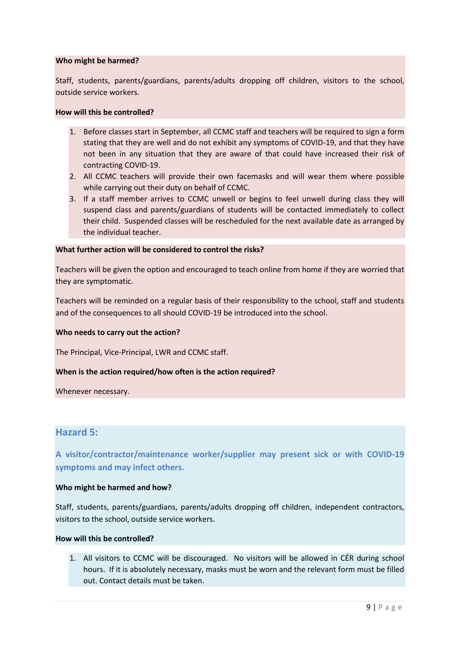### **Who might be harmed?**

Staff, students, parents/guardians, parents/adults dropping off children, visitors to the school, outside service workers.

### **How will this be controlled?**

- 1. Before classes start in September, all CCMC staff and teachers will be required to sign a form stating that they are well and do not exhibit any symptoms of COVID-19, and that they have not been in any situation that they are aware of that could have increased their risk of contracting COVID-19.
- 2. All CCMC teachers will provide their own facemasks and will wear them where possible while carrying out their duty on behalf of CCMC.
- 3. If a staff member arrives to CCMC unwell or begins to feel unwell during class they will suspend class and parents/guardians of students will be contacted immediately to collect their child. Suspended classes will be rescheduled for the next available date as arranged by the individual teacher.

### **What further action will be considered to control the risks?**

Teachers will be given the option and encouraged to teach online from home if they are worried that they are symptomatic.

Teachers will be reminded on a regular basis of their responsibility to the school, staff and students and of the consequences to all should COVID-19 be introduced into the school.

### **Who needs to carry out the action?**

The Principal, Vice-Principal, LWR and CCMC staff.

### **When is the action required/how often is the action required?**

Whenever necessary.

### **Hazard 5:**

**A visitor/contractor/maintenance worker/supplier may present sick or with COVID-19 symptoms and may infect others.**

#### **Who might be harmed and how?**

Staff, students, parents/guardians, parents/adults dropping off children, independent contractors, visitors to the school, outside service workers.

### **How will this be controlled?**

1. All visitors to CCMC will be discouraged. No visitors will be allowed in CÉR during school hours. If it is absolutely necessary, masks must be worn and the relevant form must be filled out. Contact details must be taken.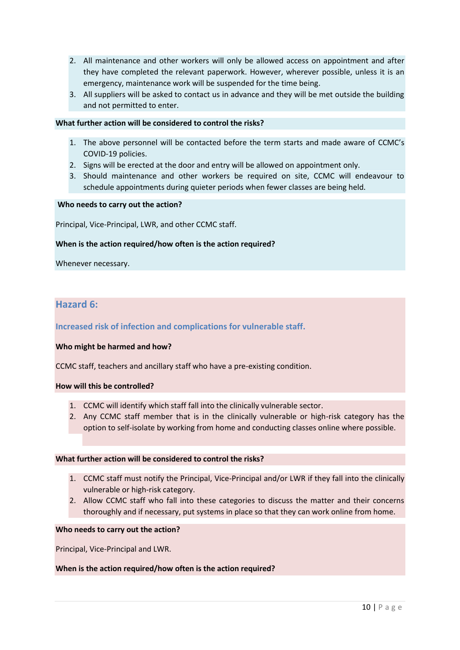- 2. All maintenance and other workers will only be allowed access on appointment and after they have completed the relevant paperwork. However, wherever possible, unless it is an emergency, maintenance work will be suspended for the time being.
- 3. All suppliers will be asked to contact us in advance and they will be met outside the building and not permitted to enter.

### **What further action will be considered to control the risks?**

- 1. The above personnel will be contacted before the term starts and made aware of CCMC's COVID-19 policies.
- 2. Signs will be erected at the door and entry will be allowed on appointment only.
- 3. Should maintenance and other workers be required on site, CCMC will endeavour to schedule appointments during quieter periods when fewer classes are being held.

### **Who needs to carry out the action?**

Principal, Vice-Principal, LWR, and other CCMC staff.

### **When is the action required/how often is the action required?**

Whenever necessary.

### **Hazard 6:**

**Increased risk of infection and complications for vulnerable staff.**

#### **Who might be harmed and how?**

CCMC staff, teachers and ancillary staff who have a pre-existing condition.

#### **How will this be controlled?**

- 1. CCMC will identify which staff fall into the clinically vulnerable sector.
- 2. Any CCMC staff member that is in the clinically vulnerable or high-risk category has the option to self-isolate by working from home and conducting classes online where possible.

### **What further action will be considered to control the risks?**

- 1. CCMC staff must notify the Principal, Vice-Principal and/or LWR if they fall into the clinically vulnerable or high-risk category.
- 2. Allow CCMC staff who fall into these categories to discuss the matter and their concerns thoroughly and if necessary, put systems in place so that they can work online from home.

### **Who needs to carry out the action?**

Principal, Vice-Principal and LWR.

#### **When is the action required/how often is the action required?**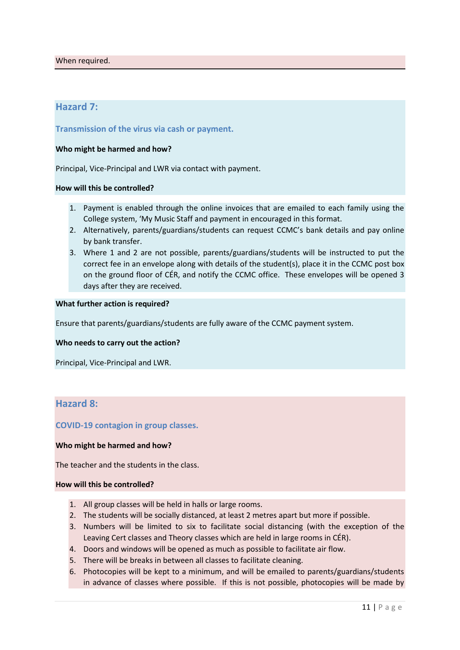### **Hazard 7:**

**Transmission of the virus via cash or payment.**

### **Who might be harmed and how?**

Principal, Vice-Principal and LWR via contact with payment.

### **How will this be controlled?**

- 1. Payment is enabled through the online invoices that are emailed to each family using the College system, 'My Music Staff and payment in encouraged in this format.
- 2. Alternatively, parents/guardians/students can request CCMC's bank details and pay online by bank transfer.
- 3. Where 1 and 2 are not possible, parents/guardians/students will be instructed to put the correct fee in an envelope along with details of the student(s), place it in the CCMC post box on the ground floor of CÉR, and notify the CCMC office. These envelopes will be opened 3 days after they are received.

### **What further action is required?**

Ensure that parents/guardians/students are fully aware of the CCMC payment system.

#### **Who needs to carry out the action?**

Principal, Vice-Principal and LWR.

### **Hazard 8:**

### **COVID-19 contagion in group classes.**

### **Who might be harmed and how?**

The teacher and the students in the class.

#### **How will this be controlled?**

- 1. All group classes will be held in halls or large rooms.
- 2. The students will be socially distanced, at least 2 metres apart but more if possible.
- 3. Numbers will be limited to six to facilitate social distancing (with the exception of the Leaving Cert classes and Theory classes which are held in large rooms in CÉR).
- 4. Doors and windows will be opened as much as possible to facilitate air flow.
- 5. There will be breaks in between all classes to facilitate cleaning.
- 6. Photocopies will be kept to a minimum, and will be emailed to parents/guardians/students in advance of classes where possible. If this is not possible, photocopies will be made by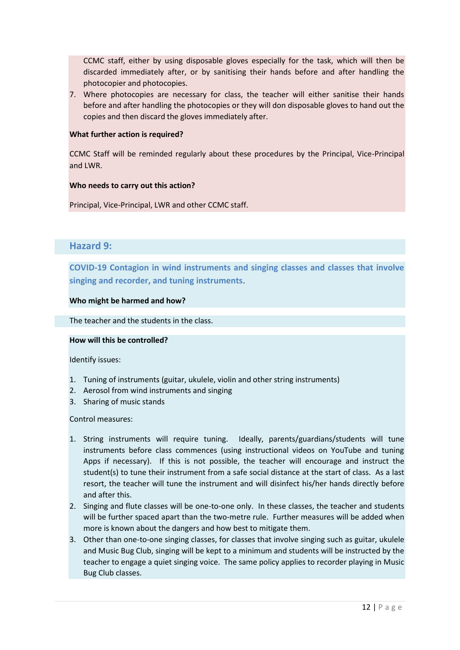CCMC staff, either by using disposable gloves especially for the task, which will then be discarded immediately after, or by sanitising their hands before and after handling the photocopier and photocopies.

7. Where photocopies are necessary for class, the teacher will either sanitise their hands before and after handling the photocopies or they will don disposable gloves to hand out the copies and then discard the gloves immediately after.

### **What further action is required?**

CCMC Staff will be reminded regularly about these procedures by the Principal, Vice-Principal and LWR.

### **Who needs to carry out this action?**

Principal, Vice-Principal, LWR and other CCMC staff.

### **Hazard 9:**

**COVID-19 Contagion in wind instruments and singing classes and classes that involve singing and recorder, and tuning instruments**.

### **Who might be harmed and how?**

The teacher and the students in the class.

### **How will this be controlled?**

Identify issues:

- 1. Tuning of instruments (guitar, ukulele, violin and other string instruments)
- 2. Aerosol from wind instruments and singing
- 3. Sharing of music stands

### Control measures:

- 1. String instruments will require tuning. Ideally, parents/guardians/students will tune instruments before class commences (using instructional videos on YouTube and tuning Apps if necessary). If this is not possible, the teacher will encourage and instruct the student(s) to tune their instrument from a safe social distance at the start of class. As a last resort, the teacher will tune the instrument and will disinfect his/her hands directly before and after this.
- 2. Singing and flute classes will be one-to-one only. In these classes, the teacher and students will be further spaced apart than the two-metre rule. Further measures will be added when more is known about the dangers and how best to mitigate them.
- 3. Other than one-to-one singing classes, for classes that involve singing such as guitar, ukulele and Music Bug Club, singing will be kept to a minimum and students will be instructed by the teacher to engage a quiet singing voice. The same policy applies to recorder playing in Music Bug Club classes.